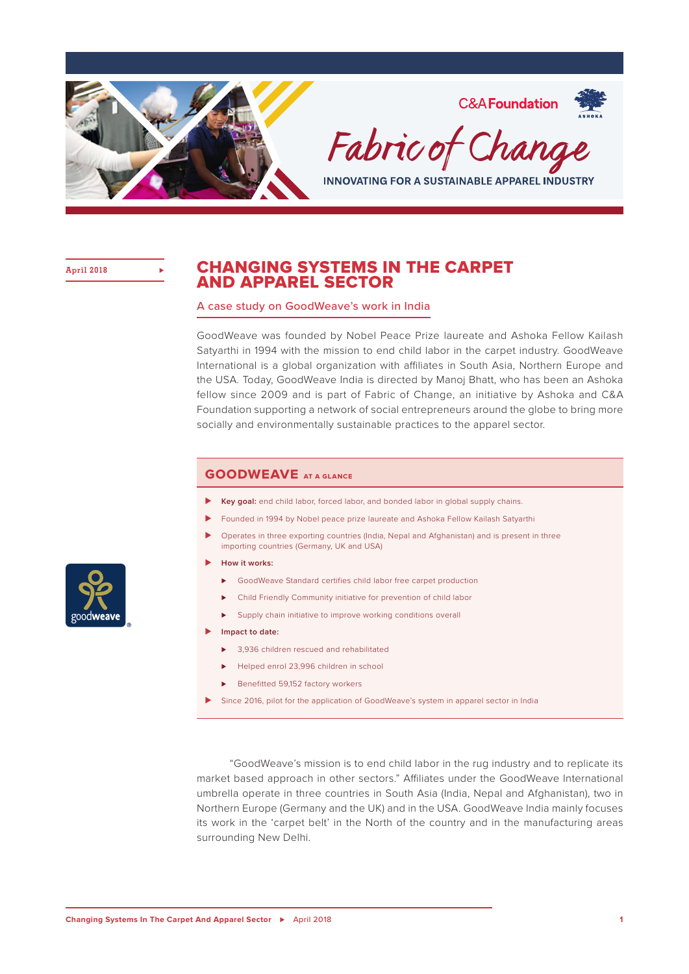

**April 2018 ⊲**

## CHANGING SYSTEMS IN THE CARPET AND APPAREL SECTOR

#### A case study on GoodWeave's work in India

GoodWeave was founded by Nobel Peace Prize laureate and Ashoka Fellow Kailash Satyarthi in 1994 with the mission to end child labor in the carpet industry. GoodWeave International is a global organization with affiliates in South Asia, Northern Europe and the USA. Today, GoodWeave India is directed by Manoj Bhatt, who has been an Ashoka fellow since 2009 and is part of Fabric of Change, an initiative by Ashoka and C&A Foundation supporting a network of social entrepreneurs around the globe to bring more socially and environmentally sustainable practices to the apparel sector.

### **GoodWeave at a glance**

- ▶ **Key goal:** end child labor, forced labor, and bonded labor in global supply chains.
- Founded in 1994 by Nobel peace prize laureate and Ashoka Fellow Kailash Satyarthi
- ⊲ Operates in three exporting countries (India, Nepal and Afghanistan) and is present in three importing countries (Germany, UK and USA)
- ⊲ **How it works:**
	- ▶ GoodWeave Standard certifies child labor free carpet production
	- ⊲ Child Friendly Community initiative for prevention of child labor
	- ► Supply chain initiative to improve working conditions overall
- ⊲ **Impact to date:** 
	- ⊲ 3,936 children rescued and rehabilitated
	- ► Helped enrol 23,996 children in school
	- ► Benefitted 59,152 factory workers
- ⊲ Since 2016, pilot for the application of GoodWeave's system in apparel sector in India

"GoodWeave's mission is to end child labor in the rug industry and to replicate its market based approach in other sectors." Affiliates under the GoodWeave International umbrella operate in three countries in South Asia (India, Nepal and Afghanistan), two in Northern Europe (Germany and the UK) and in the USA. GoodWeave India mainly focuses its work in the 'carpet belt' in the North of the country and in the manufacturing areas surrounding New Delhi.

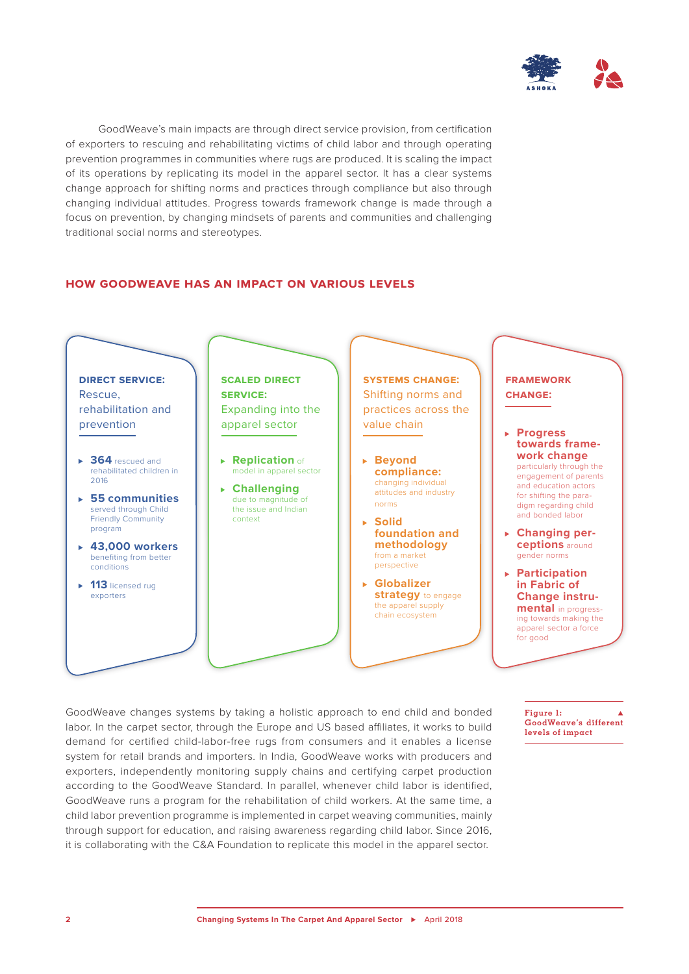

GoodWeave's main impacts are through direct service provision, from certification of exporters to rescuing and rehabilitating victims of child labor and through operating prevention programmes in communities where rugs are produced. It is scaling the impact of its operations by replicating its model in the apparel sector. It has a clear systems change approach for shifting norms and practices through compliance but also through changing individual attitudes. Progress towards framework change is made through a focus on prevention, by changing mindsets of parents and communities and challenging traditional social norms and stereotypes.

#### **how goodweave has an impact on various levels**



GoodWeave changes systems by taking a holistic approach to end child and bonded labor. In the carpet sector, through the Europe and US based affiliates, it works to build demand for certified child-labor-free rugs from consumers and it enables a license system for retail brands and importers. In India, GoodWeave works with producers and exporters, independently monitoring supply chains and certifying carpet production according to the GoodWeave Standard. In parallel, whenever child labor is identified, GoodWeave runs a program for the rehabilitation of child workers. At the same time, a child labor prevention programme is implemented in carpet weaving communities, mainly through support for education, and raising awareness regarding child labor. Since 2016, it is collaborating with the C&A Foundation to replicate this model in the apparel sector.

 $Fianre 1:$ **GoodWeave's different levels of impact**